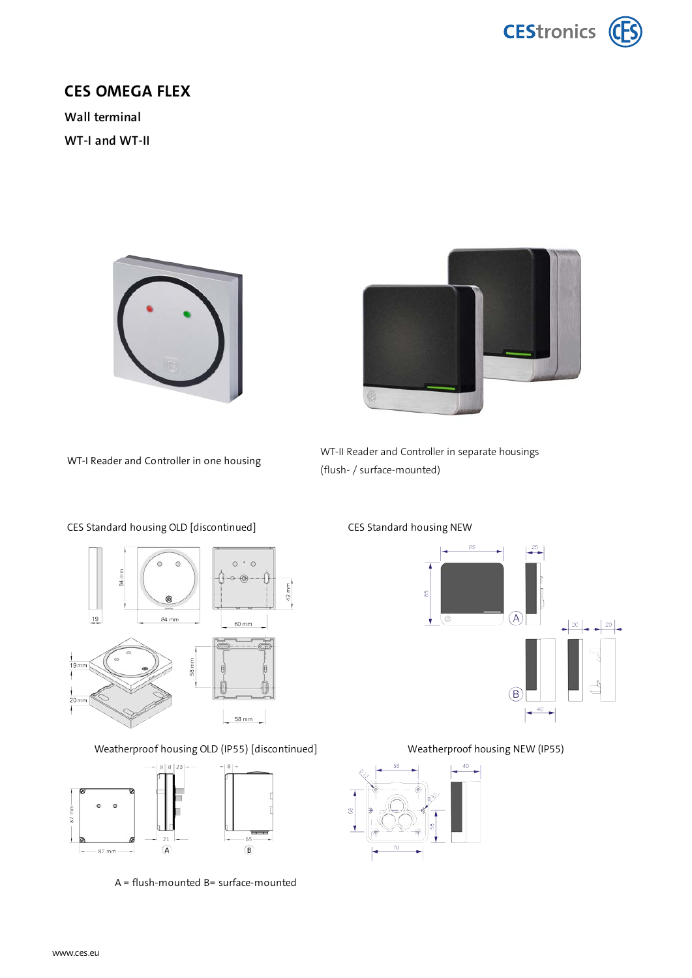

## **CES OMEGA FLEX**

**Wall terminal WT-I and WT-II**





WT-I Reader and Controller in one housing





Weatherproof housing OLD (IP55) [discontinued] Weatherproof housing NEW (IP55)



A = flush-mounted B= surface-mounted

### CES Standard housing OLD [discontinued] CES Standard housing NEW